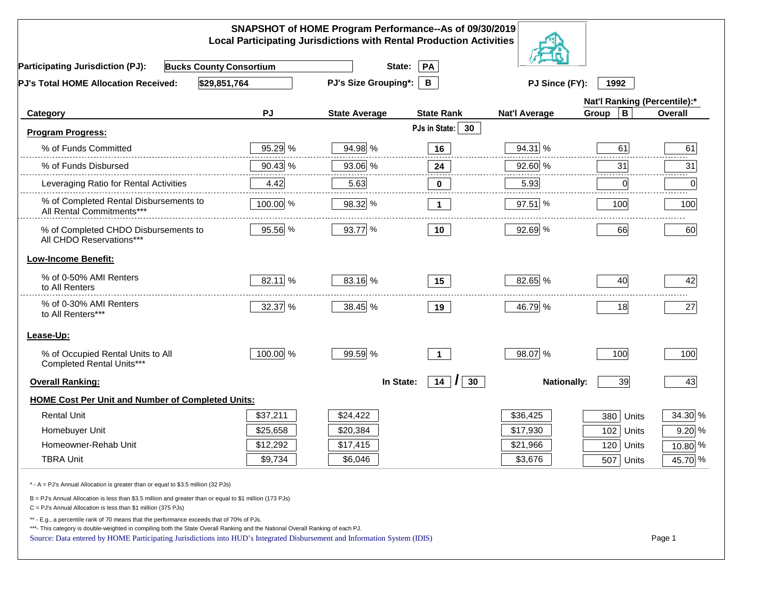|                                                                                                                                                                                                                                                                                                                                                          |           | SNAPSHOT of HOME Program Performance--As of 09/30/2019<br><b>Local Participating Jurisdictions with Rental Production Activities</b> |                     |                      |                              |          |
|----------------------------------------------------------------------------------------------------------------------------------------------------------------------------------------------------------------------------------------------------------------------------------------------------------------------------------------------------------|-----------|--------------------------------------------------------------------------------------------------------------------------------------|---------------------|----------------------|------------------------------|----------|
| <b>Bucks County Consortium</b><br><b>Participating Jurisdiction (PJ):</b>                                                                                                                                                                                                                                                                                |           | State:                                                                                                                               | PA                  |                      |                              |          |
| \$29,851,764<br>PJ's Total HOME Allocation Received:                                                                                                                                                                                                                                                                                                     |           | <b>PJ's Size Grouping*:</b>                                                                                                          | B                   | PJ Since (FY):       | 1992                         |          |
|                                                                                                                                                                                                                                                                                                                                                          |           |                                                                                                                                      |                     |                      | Nat'l Ranking (Percentile):* |          |
| Category                                                                                                                                                                                                                                                                                                                                                 | <b>PJ</b> | <b>State Average</b>                                                                                                                 | <b>State Rank</b>   | <b>Nat'l Average</b> | $\, {\bf B}$<br>Group        | Overall  |
| <b>Program Progress:</b>                                                                                                                                                                                                                                                                                                                                 |           |                                                                                                                                      | PJs in State:<br>30 |                      |                              |          |
| % of Funds Committed                                                                                                                                                                                                                                                                                                                                     | 95.29 %   | 94.98 %                                                                                                                              | 16                  | 94.31 %              | 61                           | 61       |
| % of Funds Disbursed                                                                                                                                                                                                                                                                                                                                     | 90.43 %   | 93.06 %                                                                                                                              | 24                  | 92.60 %              | 31                           | 31       |
| Leveraging Ratio for Rental Activities                                                                                                                                                                                                                                                                                                                   | 4.42      | 5.63                                                                                                                                 | 0                   | 5.93                 | 0                            | .<br>0   |
| % of Completed Rental Disbursements to<br>All Rental Commitments***                                                                                                                                                                                                                                                                                      | 100.00 %  | 98.32 %                                                                                                                              | $\overline{1}$      | 97.51 %              | 100                          | 100      |
| % of Completed CHDO Disbursements to<br>All CHDO Reservations***                                                                                                                                                                                                                                                                                         | 95.56 %   | 93.77 %                                                                                                                              | 10                  | 92.69 %              | 66                           | 60       |
| <b>Low-Income Benefit:</b>                                                                                                                                                                                                                                                                                                                               |           |                                                                                                                                      |                     |                      |                              |          |
| % of 0-50% AMI Renters<br>to All Renters                                                                                                                                                                                                                                                                                                                 | 82.11 %   | 83.16 %                                                                                                                              | 15                  | 82.65 %              | 40                           | 42       |
| % of 0-30% AMI Renters<br>to All Renters***                                                                                                                                                                                                                                                                                                              | 32.37 %   | 38.45 %                                                                                                                              | 19                  | 46.79 %              | 18                           | 27       |
| Lease-Up:                                                                                                                                                                                                                                                                                                                                                |           |                                                                                                                                      |                     |                      |                              |          |
| % of Occupied Rental Units to All<br>Completed Rental Units***                                                                                                                                                                                                                                                                                           | 100.00 %  | 99.59 %                                                                                                                              | $\overline{1}$      | 98.07 %              | 100                          | 100      |
| <b>Overall Ranking:</b>                                                                                                                                                                                                                                                                                                                                  |           | In State:                                                                                                                            | $14$ $ $<br>30      | <b>Nationally:</b>   | 39                           | 43       |
| <b>HOME Cost Per Unit and Number of Completed Units:</b>                                                                                                                                                                                                                                                                                                 |           |                                                                                                                                      |                     |                      |                              |          |
| <b>Rental Unit</b>                                                                                                                                                                                                                                                                                                                                       | \$37,211  | \$24,422                                                                                                                             |                     | \$36,425             | 380<br>Units                 | 34.30 %  |
| Homebuyer Unit                                                                                                                                                                                                                                                                                                                                           | \$25,658  | \$20,384                                                                                                                             |                     | \$17,930             | 102 Units                    | $9.20\%$ |
| Homeowner-Rehab Unit                                                                                                                                                                                                                                                                                                                                     | \$12,292  | \$17,415                                                                                                                             |                     | \$21,966             | 120 Units                    | 10.80 %  |
| <b>TBRA Unit</b>                                                                                                                                                                                                                                                                                                                                         | \$9,734   | \$6,046                                                                                                                              |                     | \$3,676              | 507 Units                    | 45.70 %  |
| * - A = PJ's Annual Allocation is greater than or equal to \$3.5 million (32 PJs)                                                                                                                                                                                                                                                                        |           |                                                                                                                                      |                     |                      |                              |          |
| B = PJ's Annual Allocation is less than \$3.5 million and greater than or equal to \$1 million (173 PJs)<br>C = PJ's Annual Allocation is less than \$1 million (375 PJs)                                                                                                                                                                                |           |                                                                                                                                      |                     |                      |                              |          |
| ** - E.g., a percentile rank of 70 means that the performance exceeds that of 70% of PJs.<br>***- This category is double-weighted in compiling both the State Overall Ranking and the National Overall Ranking of each PJ.<br>Source: Data entered by HOME Participating Jurisdictions into HUD's Integrated Disbursement and Information System (IDIS) |           |                                                                                                                                      |                     |                      |                              | Page 1   |
|                                                                                                                                                                                                                                                                                                                                                          |           |                                                                                                                                      |                     |                      |                              |          |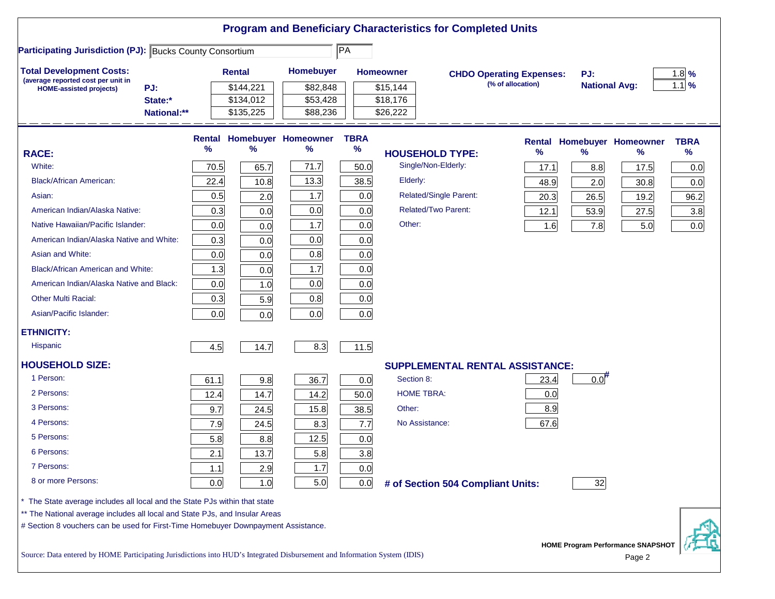| <b>Participating Jurisdiction (PJ): Bucks County Consortium</b>                                                                                         |             |      |                        |                                 | $\overline{PA}$     |                                        |                                                      |                             |                                   |                    |
|---------------------------------------------------------------------------------------------------------------------------------------------------------|-------------|------|------------------------|---------------------------------|---------------------|----------------------------------------|------------------------------------------------------|-----------------------------|-----------------------------------|--------------------|
| <b>Total Development Costs:</b>                                                                                                                         |             |      | Rental                 | Homebuyer                       |                     | <b>Homeowner</b>                       |                                                      |                             |                                   |                    |
| (average reported cost per unit in                                                                                                                      |             |      |                        |                                 |                     |                                        | <b>CHDO Operating Expenses:</b><br>(% of allocation) | PJ:<br><b>National Avg:</b> |                                   | $1.8\%$<br>$1.1$ % |
| PJ:<br><b>HOME-assisted projects)</b>                                                                                                                   | State:*     |      | \$144,221<br>\$134,012 | \$82,848<br>\$53,428            |                     | \$15,144<br>\$18,176                   |                                                      |                             |                                   |                    |
|                                                                                                                                                         | National:** |      | \$135,225              | \$88,236                        |                     | \$26,222                               |                                                      |                             |                                   |                    |
|                                                                                                                                                         |             |      |                        |                                 |                     |                                        |                                                      |                             |                                   |                    |
|                                                                                                                                                         |             | %    | %                      | Rental Homebuyer Homeowner<br>% | <b>TBRA</b><br>$\%$ |                                        |                                                      |                             | <b>Rental Homebuyer Homeowner</b> | <b>TBRA</b>        |
| <b>RACE:</b>                                                                                                                                            |             |      |                        |                                 |                     | <b>HOUSEHOLD TYPE:</b>                 | %                                                    | $\frac{9}{6}$               | %                                 | %                  |
| White:                                                                                                                                                  |             | 70.5 | 65.7                   | 71.7                            | 50.0                | Single/Non-Elderly:                    | 17.1                                                 | 8.8                         | 17.5                              | 0.0                |
| <b>Black/African American:</b>                                                                                                                          |             | 22.4 | 10.8                   | 13.3                            | 38.5                | Elderly:                               | 48.9                                                 | 2.0                         | 30.8                              | 0.0                |
| Asian:                                                                                                                                                  |             | 0.5  | 2.0                    | 1.7                             | 0.0                 | <b>Related/Single Parent:</b>          | 20.3                                                 | 26.5                        | 19.2                              | 96.2               |
| American Indian/Alaska Native:                                                                                                                          |             | 0.3  | 0.0                    | 0.0                             | 0.0                 | <b>Related/Two Parent:</b>             | 12.1                                                 | 53.9                        | 27.5                              | 3.8                |
| Native Hawaiian/Pacific Islander:                                                                                                                       |             | 0.0  | 0.0                    | 1.7                             | 0.0                 | Other:                                 | 1.6                                                  | 7.8                         | 5.0                               | 0.0                |
| American Indian/Alaska Native and White:                                                                                                                |             | 0.3  | 0.0                    | 0.0                             | 0.0                 |                                        |                                                      |                             |                                   |                    |
| Asian and White:                                                                                                                                        |             | 0.0  | 0.0                    | 0.8                             | 0.0                 |                                        |                                                      |                             |                                   |                    |
| <b>Black/African American and White:</b>                                                                                                                |             | 1.3  | 0.0                    | 1.7                             | 0.0                 |                                        |                                                      |                             |                                   |                    |
| American Indian/Alaska Native and Black:                                                                                                                |             | 0.0  | 1.0                    | 0.0                             | 0.0                 |                                        |                                                      |                             |                                   |                    |
| <b>Other Multi Racial:</b>                                                                                                                              |             | 0.3  | 5.9                    | 0.8                             | 0.0                 |                                        |                                                      |                             |                                   |                    |
| Asian/Pacific Islander:                                                                                                                                 |             | 0.0  | 0.0                    | 0.0                             | 0.0                 |                                        |                                                      |                             |                                   |                    |
| <b>ETHNICITY:</b>                                                                                                                                       |             |      |                        |                                 |                     |                                        |                                                      |                             |                                   |                    |
| <b>Hispanic</b>                                                                                                                                         |             | 4.5  | 14.7                   | 8.3                             | 11.5                |                                        |                                                      |                             |                                   |                    |
| <b>HOUSEHOLD SIZE:</b>                                                                                                                                  |             |      |                        |                                 |                     | <b>SUPPLEMENTAL RENTAL ASSISTANCE:</b> |                                                      |                             |                                   |                    |
| 1 Person:                                                                                                                                               |             | 61.1 | 9.8                    | 36.7                            | 0.0                 | Section 8:                             | 23.4                                                 | $0.0$ <sup>#</sup>          |                                   |                    |
| 2 Persons:                                                                                                                                              |             | 12.4 | 14.7                   | 14.2                            | 50.0                | <b>HOME TBRA:</b>                      | 0.0                                                  |                             |                                   |                    |
| 3 Persons:                                                                                                                                              |             | 9.7  | 24.5                   | 15.8                            | 38.5                | Other:                                 | 8.9                                                  |                             |                                   |                    |
| 4 Persons:                                                                                                                                              |             | 7.9  | 24.5                   | 8.3                             | 7.7                 | No Assistance:                         | 67.6                                                 |                             |                                   |                    |
| 5 Persons:                                                                                                                                              |             | 5.8  | 8.8                    | 12.5                            | 0.0                 |                                        |                                                      |                             |                                   |                    |
| 6 Persons:                                                                                                                                              |             | 2.1  | 13.7                   | 5.8                             | 3.8                 |                                        |                                                      |                             |                                   |                    |
| 7 Persons:                                                                                                                                              |             | 1.1  | 2.9                    | 1.7                             | 0.0                 |                                        |                                                      |                             |                                   |                    |
| 8 or more Persons:                                                                                                                                      |             | 0.0  | 1.0                    | 5.0                             | 0.0                 | # of Section 504 Compliant Units:      |                                                      | 32                          |                                   |                    |
|                                                                                                                                                         |             |      |                        |                                 |                     |                                        |                                                      |                             |                                   |                    |
| The State average includes all local and the State PJs within that state<br>** The National average includes all local and State PJs, and Insular Areas |             |      |                        |                                 |                     |                                        |                                                      |                             |                                   |                    |
| # Section 8 vouchers can be used for First-Time Homebuyer Downpayment Assistance.                                                                       |             |      |                        |                                 |                     |                                        |                                                      |                             |                                   |                    |
|                                                                                                                                                         |             |      |                        |                                 |                     |                                        |                                                      |                             |                                   |                    |

Source: Data entered by HOME Participating Jurisdictions into HUD's Integrated Disbursement and Information System (IDIS) Page 2